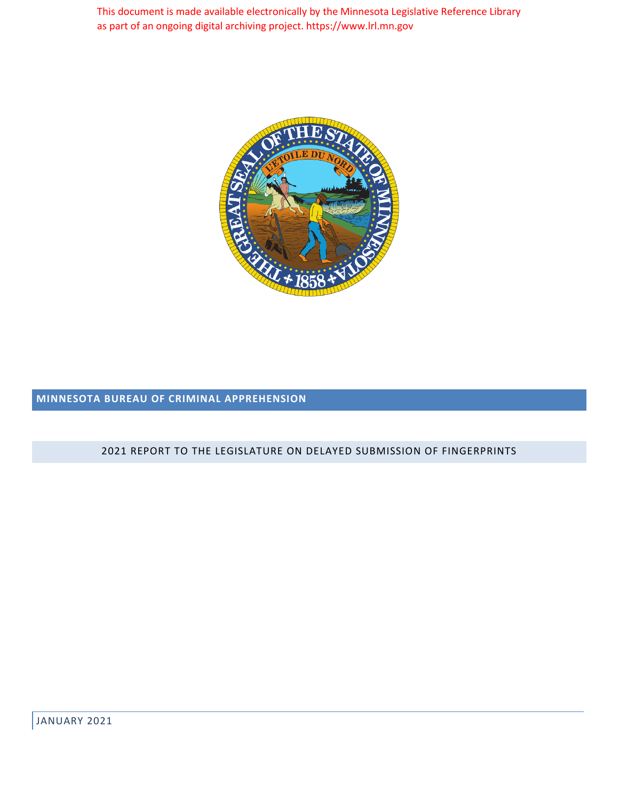This document is made available electronically by the Minnesota Legislative Reference Library as part of an ongoing digital archiving project. https://www.lrl.mn.gov



# **MINNESOTA BUREAU OF CRIMINAL APPREHENSION**

#### 2021 REPORT TO THE LEGISLATURE ON DELAYED SUBMISSION OF FINGERPRINTS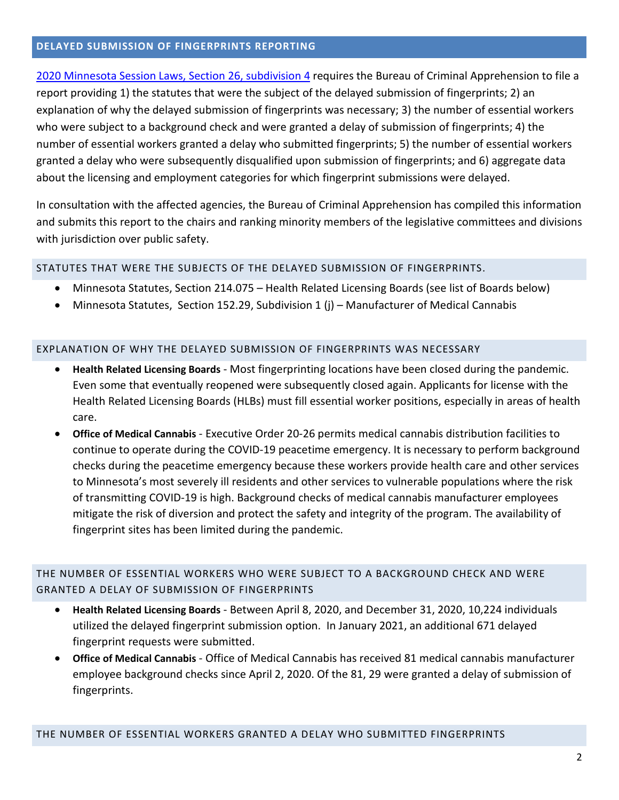#### **DELAYED SUBMISSION OF FINGERPRINTS REPORTING**

[2020 Minnesota Session Laws, Section 26, subdivision 4](https://www.revisor.mn.gov/laws/2020/0/Session+Law/Chapter/71/#laws.2.26.0) requires the Bureau of Criminal Apprehension to file a report providing 1) the statutes that were the subject of the delayed submission of fingerprints; 2) an explanation of why the delayed submission of fingerprints was necessary; 3) the number of essential workers who were subject to a background check and were granted a delay of submission of fingerprints; 4) the number of essential workers granted a delay who submitted fingerprints; 5) the number of essential workers granted a delay who were subsequently disqualified upon submission of fingerprints; and 6) aggregate data about the licensing and employment categories for which fingerprint submissions were delayed.

In consultation with the affected agencies, the Bureau of Criminal Apprehension has compiled this information and submits this report to the chairs and ranking minority members of the legislative committees and divisions with jurisdiction over public safety.

### STATUTES THAT WERE THE SUBJECTS OF THE DELAYED SUBMISSION OF FINGERPRINTS.

- Minnesota Statutes, Section 214.075 Health Related Licensing Boards (see list of Boards below)
- Minnesota Statutes, Section 152.29, Subdivision 1 (j) Manufacturer of Medical Cannabis

#### EXPLANATION OF WHY THE DELAYED SUBMISSION OF FINGERPRINTS WAS NECESSARY

- **Health Related Licensing Boards** Most fingerprinting locations have been closed during the pandemic. Even some that eventually reopened were subsequently closed again. Applicants for license with the Health Related Licensing Boards (HLBs) must fill essential worker positions, especially in areas of health care.
- **Office of Medical Cannabis** Executive Order 20-26 permits medical cannabis distribution facilities to continue to operate during the COVID-19 peacetime emergency. It is necessary to perform background checks during the peacetime emergency because these workers provide health care and other services to Minnesota's most severely ill residents and other services to vulnerable populations where the risk of transmitting COVID-19 is high. Background checks of medical cannabis manufacturer employees mitigate the risk of diversion and protect the safety and integrity of the program. The availability of fingerprint sites has been limited during the pandemic.

## THE NUMBER OF ESSENTIAL WORKERS WHO WERE SUBJECT TO A BACKGROUND CHECK AND WERE GRANTED A DELAY OF SUBMISSION OF FINGERPRINTS

- **Health Related Licensing Boards** Between April 8, 2020, and December 31, 2020, 10,224 individuals utilized the delayed fingerprint submission option. In January 2021, an additional 671 delayed fingerprint requests were submitted.
- **Office of Medical Cannabis** Office of Medical Cannabis has received 81 medical cannabis manufacturer employee background checks since April 2, 2020. Of the 81, 29 were granted a delay of submission of fingerprints.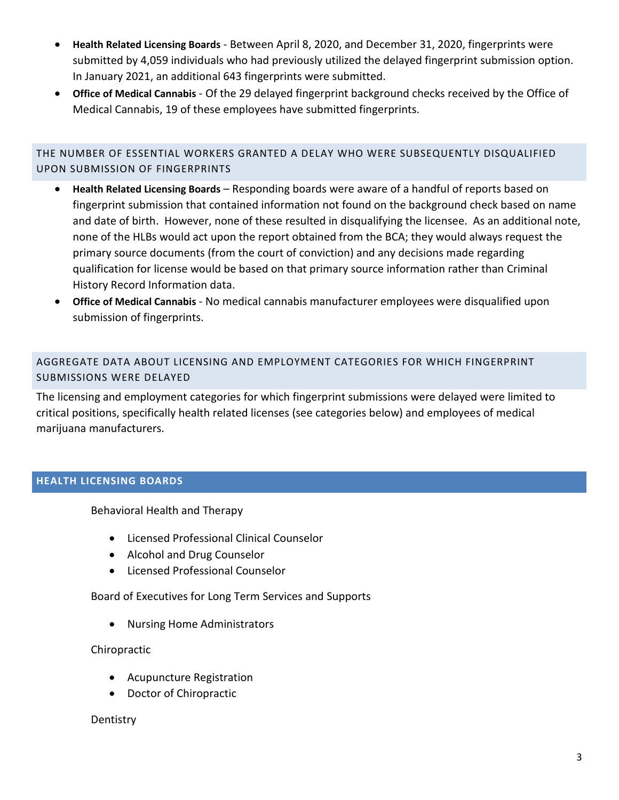- **Health Related Licensing Boards** Between April 8, 2020, and December 31, 2020, fingerprints were submitted by 4,059 individuals who had previously utilized the delayed fingerprint submission option. In January 2021, an additional 643 fingerprints were submitted.
- **Office of Medical Cannabis** Of the 29 delayed fingerprint background checks received by the Office of Medical Cannabis, 19 of these employees have submitted fingerprints.

# THE NUMBER OF ESSENTIAL WORKERS GRANTED A DELAY WHO WERE SUBSEQUENTLY DISQUALIFIED UPON SUBMISSION OF FINGERPRINTS

- **Health Related Licensing Boards** Responding boards were aware of a handful of reports based on fingerprint submission that contained information not found on the background check based on name and date of birth. However, none of these resulted in disqualifying the licensee. As an additional note, none of the HLBs would act upon the report obtained from the BCA; they would always request the primary source documents (from the court of conviction) and any decisions made regarding qualification for license would be based on that primary source information rather than Criminal History Record Information data.
- **Office of Medical Cannabis** No medical cannabis manufacturer employees were disqualified upon submission of fingerprints.

# AGGREGATE DATA ABOUT LICENSING AND EMPLOYMENT CATEGORIES FOR WHICH FINGERPRINT SUBMISSIONS WERE DELAYED

The licensing and employment categories for which fingerprint submissions were delayed were limited to critical positions, specifically health related licenses (see categories below) and employees of medical marijuana manufacturers.

## **HEALTH LICENSING BOARDS**

Behavioral Health and Therapy

- Licensed Professional Clinical Counselor
- Alcohol and Drug Counselor
- Licensed Professional Counselor

Board of Executives for Long Term Services and Supports

• Nursing Home Administrators

## Chiropractic

- Acupuncture Registration
- Doctor of Chiropractic

## **Dentistry**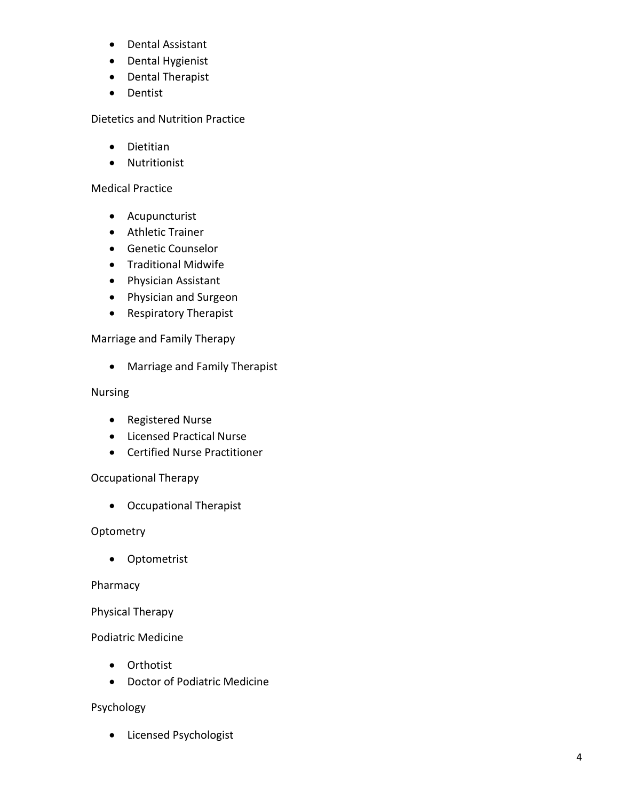- Dental Assistant
- Dental Hygienist
- Dental Therapist
- Dentist

Dietetics and Nutrition Practice

- Dietitian
- Nutritionist

### Medical Practice

- Acupuncturist
- Athletic Trainer
- Genetic Counselor
- Traditional Midwife
- Physician Assistant
- Physician and Surgeon
- Respiratory Therapist

### Marriage and Family Therapy

• Marriage and Family Therapist

### Nursing

- Registered Nurse
- Licensed Practical Nurse
- Certified Nurse Practitioner

## Occupational Therapy

• Occupational Therapist

### **Optometry**

• Optometrist

### Pharmacy

### Physical Therapy

### Podiatric Medicine

- Orthotist
- Doctor of Podiatric Medicine

### Psychology

• Licensed Psychologist